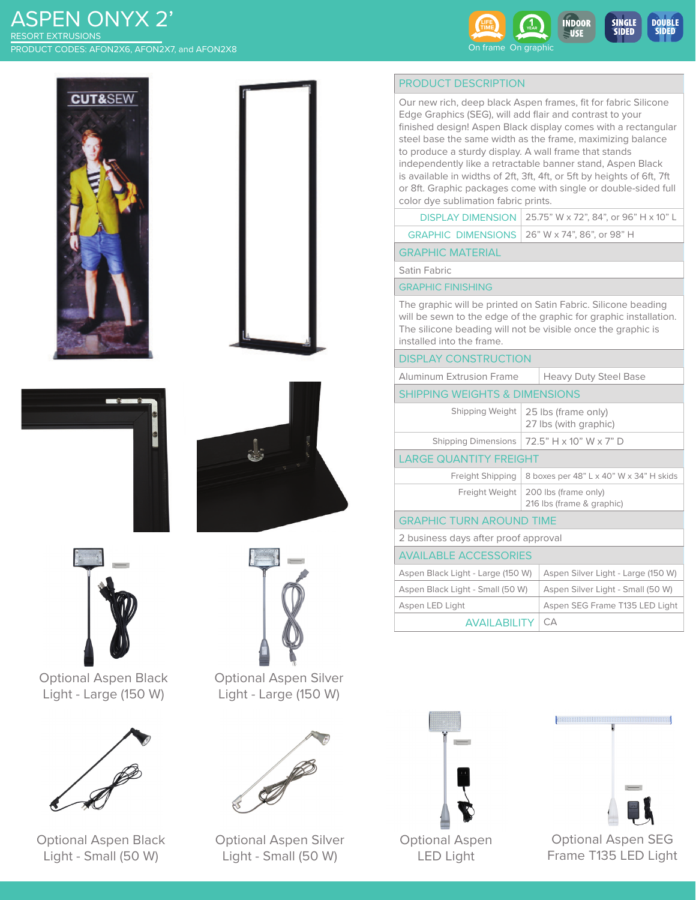# ASPEN ONYX 2' PRODUCT CODES: AFON2X6, AFON2X7, and AFON2X8 RESORT EXTRUSIONS













Optional Aspen Black Light - Large (150 W)



Optional Aspen Black Light - Small (50 W)



Optional Aspen Silver Light - Large (150 W)



Optional Aspen Silver Light - Small (50 W)

# PRODUCT DESCRIPTION

SIDED

SIDED

Our new rich, deep black Aspen frames, fit for fabric Silicone Edge Graphics (SEG), will add flair and contrast to your finished design! Aspen Black display comes with a rectangular steel base the same width as the frame, maximizing balance to produce a sturdy display. A wall frame that stands independently like a retractable banner stand, Aspen Black is available in widths of 2ft, 3ft, 4ft, or 5ft by heights of 6ft, 7ft or 8ft. Graphic packages come with single or double-sided full color dye sublimation fabric prints.

| <b>DISPLAY DIMENSION</b>   25.75" W x 72", 84", or 96" H x 10" L |  |
|------------------------------------------------------------------|--|
|                                                                  |  |

| GRAPHIC DIMENSIONS   $26$ " W x 74", 86", or 98" H |  |
|----------------------------------------------------|--|
|----------------------------------------------------|--|

GRAPHIC MATERIAL

Satin Fabric

#### GRAPHIC FINISHING

The graphic will be printed on Satin Fabric. Silicone beading will be sewn to the edge of the graphic for graphic installation. The silicone beading will not be visible once the graphic is installed into the frame.

### DISPLAY CONSTRUCTION

| <b>Aluminum Extrusion Frame</b> | Heavy Duty Steel Base |
|---------------------------------|-----------------------|
|                                 |                       |

# SHIPPING WEIGHTS & DIMENSIONS

|                        | Shipping Weight   25 lbs (frame only)<br>27 lbs (with graphic) |  |
|------------------------|----------------------------------------------------------------|--|
|                        | Shipping Dimensions   $72.5$ " H x 10" W x 7" D                |  |
| ARGE OLIANTITY EREIGHT |                                                                |  |

#### LARGE QUANTITY FREIGHT

| Freight Shipping   8 boxes per 48" L x 40" W x 34" H skids         |
|--------------------------------------------------------------------|
| Freight Weight   200 lbs (frame only)<br>216 lbs (frame & graphic) |

GRAPHIC TURN AROUND TIME

2 business days after proof approval

# AVAILABLE ACCESSORIES

| AVAILADLL ACCLOSURILS             |                                    |
|-----------------------------------|------------------------------------|
| Aspen Black Light - Large (150 W) | Aspen Silver Light - Large (150 W) |
| Aspen Black Light - Small (50 W)  | Aspen Silver Light - Small (50 W)  |
| Aspen LED Light                   | Aspen SEG Frame T135 LED Light     |
| <b>AVAII ABILITY   CA</b>         |                                    |





**BEEFEEFEEFEEFEE** 



Optional Aspen LED Light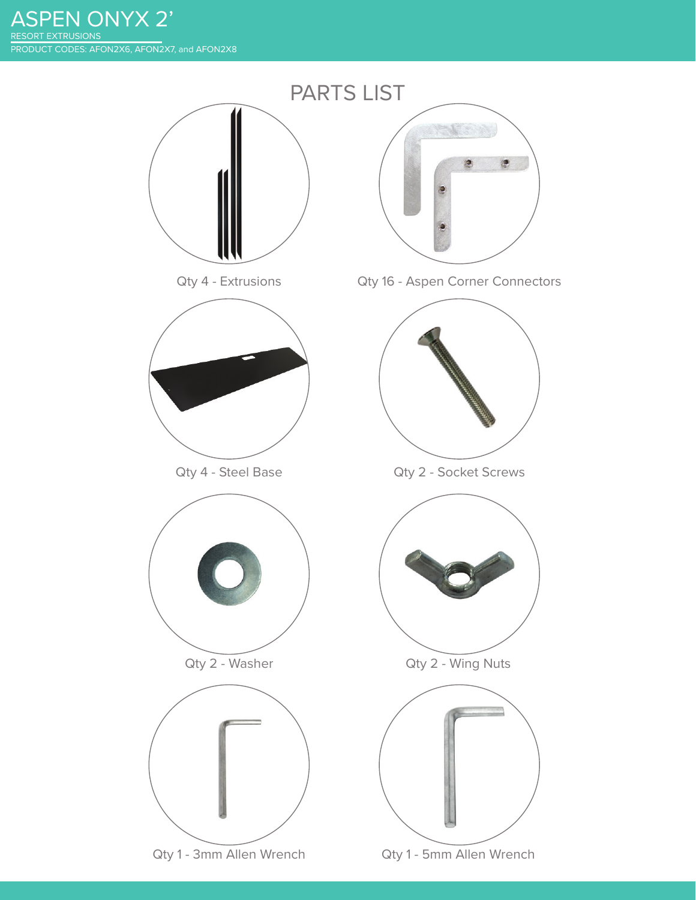ASPEN ONYX 2' PRODUCT CODES: AFON2X6, AFON2X7, and AFON2X8 RESORT EXTRUSIONS

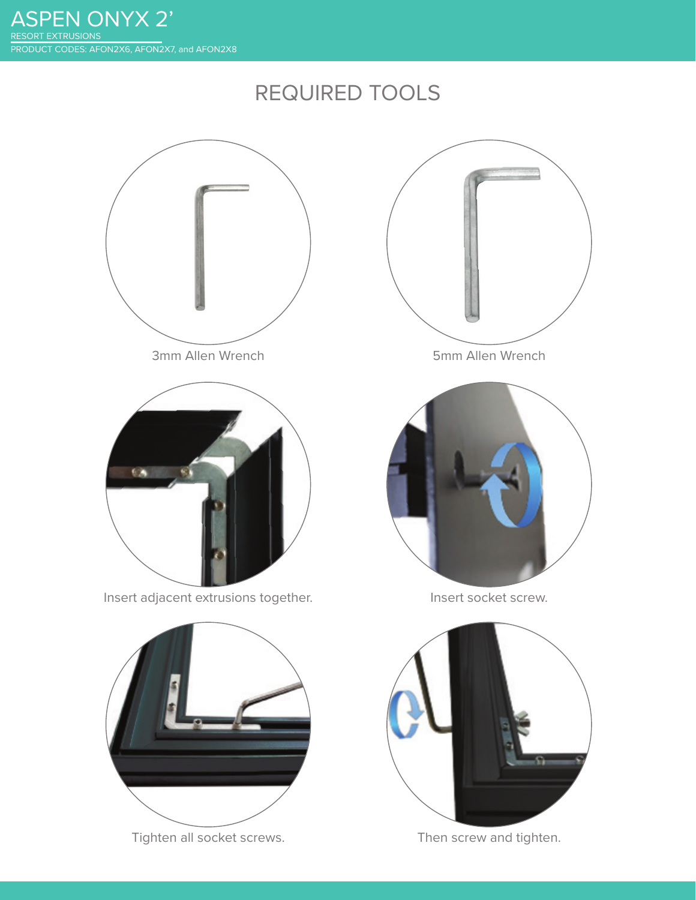# REQUIRED TOOLS



Tighten all socket screws. Then screw and tighten.

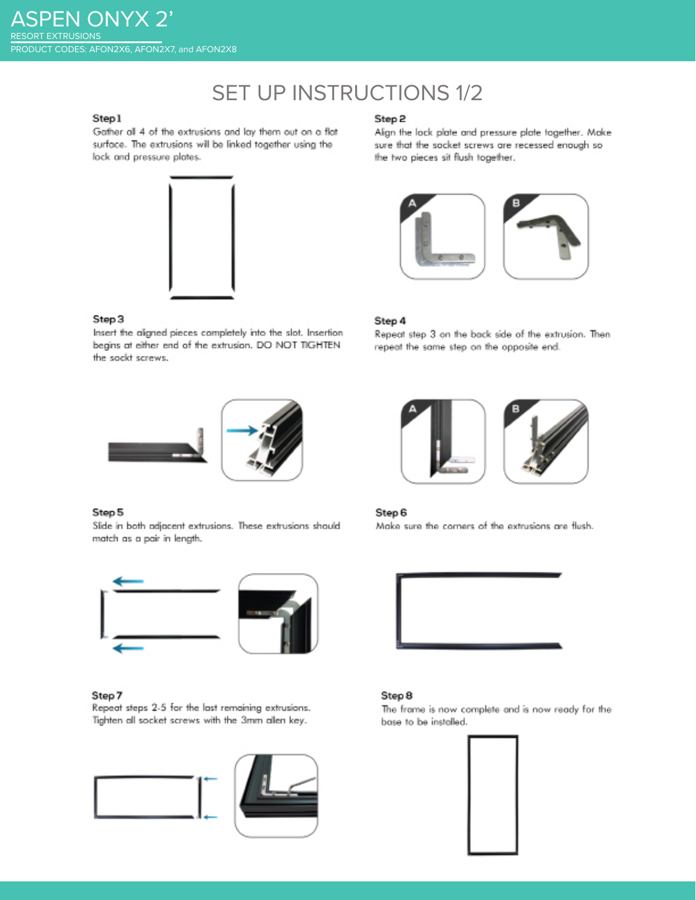# **SET UP INSTRUCTIONS 1/2**

# Step1

Gather all 4 of the extrusions and lay them out on a flat surface. The extrusions will be linked together using the lock and pressure plates.



#### Step 3

Insert the aligned pieces completely into the slot. Insertion begins at either end of the extrusion. DO NOT TIGHTEN the sockt screws.



#### Step 5

Slide in both adjacent extrusions. These extrusions should match as a pair in length.



### Step 7

Repeat steps 2-5 for the last remaining extrusions. Tighten all socket screws with the 3mm allen key.



## Step 2

Align the lock plate and pressure plate together. Make sure that the socket screws are recessed enough so the two pieces sit flush together.



#### Step 4

Repeat step 3 on the back side of the extrusion. Then repeat the same step on the opposite end.



### Step 6

Make sure the corners of the extrusions are flush.



### Step 8

The frame is now complete and is now ready for the base to be installed.